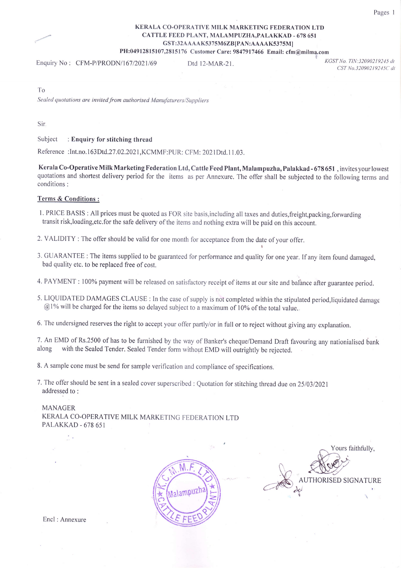## KERALA CO-OPERATIVE MILK MARKETING FEDERATION LTD CATTLE FEED PLANT, MALAMPUZHA,PALAKKAD - 678 651 GST:32AAAAK5375M6ZB[PAN:AAAAK5375M] PH:04912815107,2815176 Customer Care: 9847917466 Email: cfm@milma.com

Enquiry No : CFM-P/PRODN/167/2021/69 Dtd 12-MAR-21

KGST No. TIN: 32090219245 dt CST No.32090219245C dt

To

Sealed quotations are invited from authorised Manufaturers/Suppliers

Sir

Subject : Enquiry for stitching thread

Reference : Int.no.163Dtd.27.02.2021, KCMMF: PUR: CFM: 2021Dtd.11.03.

Kerala Co-Operative Milk Marketing Federation Ltd, Cattle Feed Plant, Malampuzha, Palakkad - 678 651 , invites your lowest quotations and shortest delivery period for the items as per Annexure. The offer shall be subjected to the following terms and conditions :

## Terms & Conditions :

- 1. PRICE BASIS : All prices must be quoted as FOR site basis,including atl taxes and duties,freight,packing,forwarding transit risk,loading,etc.for the safe delivery of the items and nothing extra will be paid on this account.
- 2. VALIDITY : The offer should be valid for one month for acceptance from the date of your offer.
- 3. GUARANTEE : The items supplied to be guaranteed for performance and quality for one year. If any item found damaged, bad qualiry etc. to be replaced free of cost.
- 4. PAYMENT : 100% payment will be released on satisfactory receipt of items at our site and balance after guarantee period.
- 5. LIQUIDATED DAMAGES CLAUSE : In the case of supply is not completed within the stipulated period,liquidated danrage  $@1%$  will be charged for the items so delayed subject to a maximum of 10% of the total value.
- 6. The undersigned reserves the right to accept your offer partly/or in full or to reject without giving any explanation.

7. An EMD of Rs.2500 of has to be furnished by the way of Banker's cheque/Demand Draft favouring any nationialised bank along with the Sealed Tender. Sealed Tender form without EMD will outrightly be rejected with the Sealed Tender. Sealed Tender form without EMD will outrightly be rejected.

8. A sample cone must be send for sample verification and compliance of specifications.

7. The offer should be sent in a sealed cover superscribed : Quotation for stitching thread due on 25/03/2021 addressed to :

#### MANAGER

KERALA CO-OPERATIVE MILK MARKETING FEDERATION LTD PALAKKAD - 678 651



Yours faithfully,  $\sqrt{2}$ AUTHORISED SIGNATURE **CNS** iur de la company de la company de la company de la company de la company de la company de la company de la company de la company de la company de la company de la company de la company de la company de la company de la co

Encl : Annexure